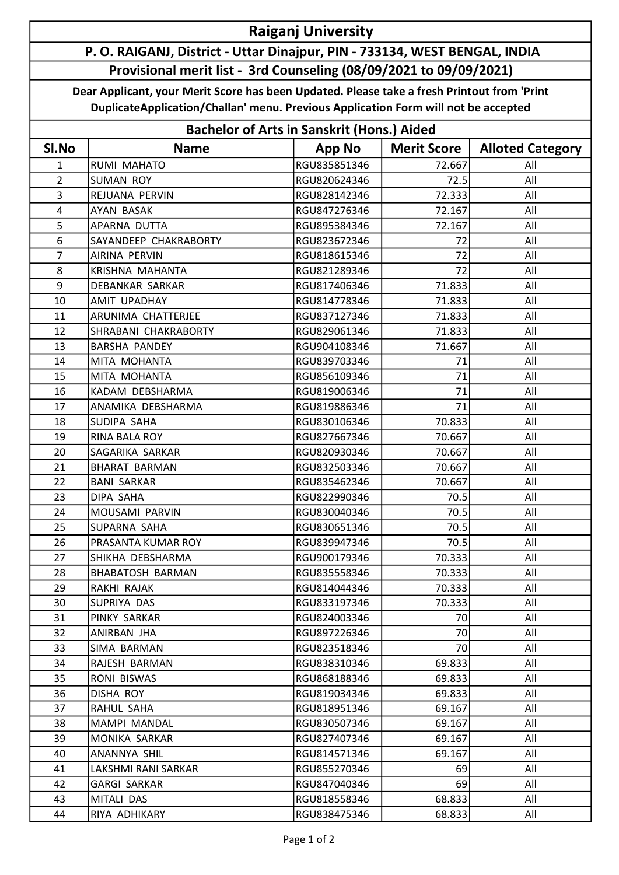## Raiganj University

## P. O. RAIGANJ, District - Uttar Dinajpur, PIN - 733134, WEST BENGAL, INDIA Provisional merit list - 3rd Counseling (08/09/2021 to 09/09/2021)

Dear Applicant, your Merit Score has been Updated. Please take a fresh Printout from 'Print DuplicateApplication/Challan' menu. Previous Application Form will not be accepted

| <b>Bachelor of Arts in Sanskrit (Hons.) Aided</b> |                         |               |                    |                         |  |  |  |
|---------------------------------------------------|-------------------------|---------------|--------------------|-------------------------|--|--|--|
| SI.No                                             | <b>Name</b>             | <b>App No</b> | <b>Merit Score</b> | <b>Alloted Category</b> |  |  |  |
| 1                                                 | RUMI MAHATO             | RGU835851346  | 72.667             | All                     |  |  |  |
| $\overline{2}$                                    | <b>SUMAN ROY</b>        | RGU820624346  | 72.5               | All                     |  |  |  |
| 3                                                 | REJUANA PERVIN          | RGU828142346  | 72.333             | All                     |  |  |  |
| 4                                                 | AYAN BASAK              | RGU847276346  | 72.167             | All                     |  |  |  |
| 5                                                 | APARNA DUTTA            | RGU895384346  | 72.167             | All                     |  |  |  |
| 6                                                 | SAYANDEEP CHAKRABORTY   | RGU823672346  | 72                 | All                     |  |  |  |
| $\overline{7}$                                    | AIRINA PERVIN           | RGU818615346  | 72                 | All                     |  |  |  |
| 8                                                 | KRISHNA MAHANTA         | RGU821289346  | 72                 | All                     |  |  |  |
| 9                                                 | DEBANKAR SARKAR         | RGU817406346  | 71.833             | All                     |  |  |  |
| 10                                                | AMIT UPADHAY            | RGU814778346  | 71.833             | All                     |  |  |  |
| 11                                                | ARUNIMA CHATTERJEE      | RGU837127346  | 71.833             | All                     |  |  |  |
| 12                                                | SHRABANI CHAKRABORTY    | RGU829061346  | 71.833             | All                     |  |  |  |
| 13                                                | <b>BARSHA PANDEY</b>    | RGU904108346  | 71.667             | All                     |  |  |  |
| 14                                                | MITA MOHANTA            | RGU839703346  | 71                 | All                     |  |  |  |
| 15                                                | MITA MOHANTA            | RGU856109346  | 71                 | All                     |  |  |  |
| 16                                                | KADAM DEBSHARMA         | RGU819006346  | 71                 | All                     |  |  |  |
| 17                                                | ANAMIKA DEBSHARMA       | RGU819886346  | 71                 | All                     |  |  |  |
| 18                                                | SUDIPA SAHA             | RGU830106346  | 70.833             | All                     |  |  |  |
| 19                                                | RINA BALA ROY           | RGU827667346  | 70.667             | All                     |  |  |  |
| 20                                                | SAGARIKA SARKAR         | RGU820930346  | 70.667             | All                     |  |  |  |
| 21                                                | <b>BHARAT BARMAN</b>    | RGU832503346  | 70.667             | All                     |  |  |  |
| 22                                                | <b>BANI SARKAR</b>      | RGU835462346  | 70.667             | All                     |  |  |  |
| 23                                                | DIPA SAHA               | RGU822990346  | 70.5               | All                     |  |  |  |
| 24                                                | MOUSAMI PARVIN          | RGU830040346  | 70.5               | All                     |  |  |  |
| 25                                                | SUPARNA SAHA            | RGU830651346  | 70.5               | All                     |  |  |  |
| 26                                                | PRASANTA KUMAR ROY      | RGU839947346  | 70.5               | All                     |  |  |  |
| 27                                                | SHIKHA DEBSHARMA        | RGU900179346  | 70.333             | All                     |  |  |  |
| 28                                                | <b>BHABATOSH BARMAN</b> | RGU835558346  | 70.333             | All                     |  |  |  |
| 29                                                | RAKHI RAJAK             | RGU814044346  | 70.333             | All                     |  |  |  |
| 30                                                | SUPRIYA DAS             | RGU833197346  | 70.333             | All                     |  |  |  |
| 31                                                | PINKY SARKAR            | RGU824003346  | 70                 | All                     |  |  |  |
| 32                                                | ANIRBAN JHA             | RGU897226346  | 70                 | All                     |  |  |  |
| 33                                                | SIMA BARMAN             | RGU823518346  | 70                 | All                     |  |  |  |
| 34                                                | RAJESH BARMAN           | RGU838310346  | 69.833             | All                     |  |  |  |
| 35                                                | RONI BISWAS             | RGU868188346  | 69.833             | All                     |  |  |  |
| 36                                                | <b>DISHA ROY</b>        | RGU819034346  | 69.833             | All                     |  |  |  |
| 37                                                | RAHUL SAHA              | RGU818951346  | 69.167             | All                     |  |  |  |
| 38                                                | MAMPI MANDAL            | RGU830507346  | 69.167             | All                     |  |  |  |
| 39                                                | MONIKA SARKAR           | RGU827407346  | 69.167             | All                     |  |  |  |
| 40                                                | ANANNYA SHIL            | RGU814571346  | 69.167             | All                     |  |  |  |
| 41                                                | LAKSHMI RANI SARKAR     | RGU855270346  | 69                 | All                     |  |  |  |
| 42                                                | <b>GARGI SARKAR</b>     | RGU847040346  | 69                 | All                     |  |  |  |
| 43                                                | MITALI DAS              | RGU818558346  | 68.833             | All                     |  |  |  |
| 44                                                | RIYA ADHIKARY           | RGU838475346  | 68.833             | All                     |  |  |  |